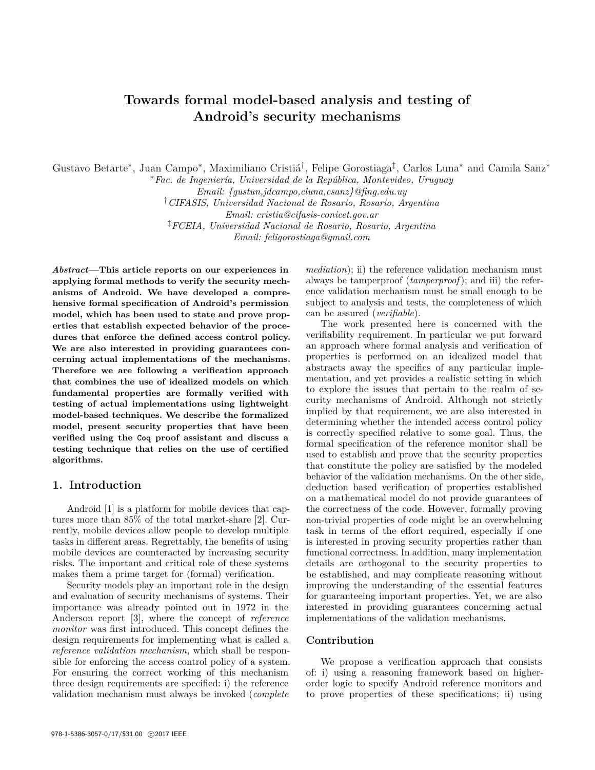# **Towards formal model-based analysis and testing of Android's security mechanisms**

Gustavo Betarte<sup>∗</sup> , Juan Campo<sup>∗</sup> , Maximiliano Cristiá† , Felipe Gorostiaga‡ , Carlos Luna<sup>∗</sup> and Camila Sanz<sup>∗</sup>

<sup>∗</sup>*Fac. de Ingeniería, Universidad de la República, Montevideo, Uruguay*

*Email: {gustun,jdcampo,cluna,csanz}@fing.edu.uy* †*CIFASIS, Universidad Nacional de Rosario, Rosario, Argentina Email: cristia@cifasis-conicet.gov.ar* ‡*FCEIA, Universidad Nacional de Rosario, Rosario, Argentina Email: feligorostiaga@gmail.com*

*Abstract***—This article reports on our experiences in applying formal methods to verify the security mechanisms of Android. We have developed a comprehensive formal specification of Android's permission model, which has been used to state and prove properties that establish expected behavior of the procedures that enforce the defined access control policy. We are also interested in providing guarantees concerning actual implementations of the mechanisms. Therefore we are following a verification approach that combines the use of idealized models on which fundamental properties are formally verified with testing of actual implementations using lightweight model-based techniques. We describe the formalized model, present security properties that have been verified using the Coq proof assistant and discuss a testing technique that relies on the use of certified algorithms.**

#### **1. Introduction**

Android [1] is a platform for mobile devices that captures more than 85% of the total market-share [2]. Currently, mobile devices allow people to develop multiple tasks in different areas. Regrettably, the benefits of using mobile devices are counteracted by increasing security risks. The important and critical role of these systems makes them a prime target for (formal) verification.

Security models play an important role in the design and evaluation of security mechanisms of systems. Their importance was already pointed out in 1972 in the Anderson report [3], where the concept of *reference monitor* was first introduced. This concept defines the design requirements for implementing what is called a *reference validation mechanism*, which shall be responsible for enforcing the access control policy of a system. For ensuring the correct working of this mechanism three design requirements are specified: i) the reference validation mechanism must always be invoked (*complete*

*mediation*); ii) the reference validation mechanism must always be tamperproof (*tamperproof*); and iii) the reference validation mechanism must be small enough to be subject to analysis and tests, the completeness of which can be assured (*verifiable*).

The work presented here is concerned with the verifiability requirement. In particular we put forward an approach where formal analysis and verification of properties is performed on an idealized model that abstracts away the specifics of any particular implementation, and yet provides a realistic setting in which to explore the issues that pertain to the realm of security mechanisms of Android. Although not strictly implied by that requirement, we are also interested in determining whether the intended access control policy is correctly specified relative to some goal. Thus, the formal specification of the reference monitor shall be used to establish and prove that the security properties that constitute the policy are satisfied by the modeled behavior of the validation mechanisms. On the other side, deduction based verification of properties established on a mathematical model do not provide guarantees of the correctness of the code. However, formally proving non-trivial properties of code might be an overwhelming task in terms of the effort required, especially if one is interested in proving security properties rather than functional correctness. In addition, many implementation details are orthogonal to the security properties to be established, and may complicate reasoning without improving the understanding of the essential features for guaranteeing important properties. Yet, we are also interested in providing guarantees concerning actual implementations of the validation mechanisms.

## **Contribution**

We propose a verification approach that consists of: i) using a reasoning framework based on higherorder logic to specify Android reference monitors and to prove properties of these specifications; ii) using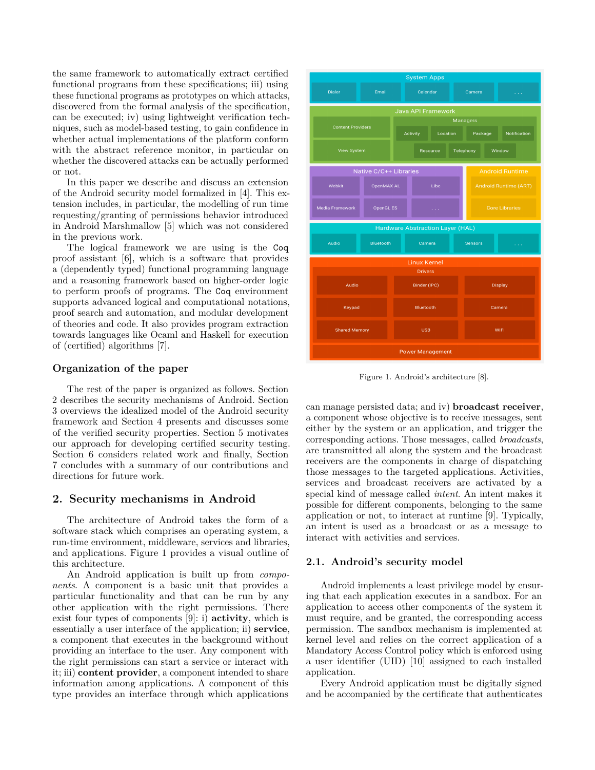the same framework to automatically extract certified functional programs from these specifications; iii) using these functional programs as prototypes on which attacks, discovered from the formal analysis of the specification, can be executed; iv) using lightweight verification techniques, such as model-based testing, to gain confidence in whether actual implementations of the platform conform with the abstract reference monitor, in particular on whether the discovered attacks can be actually performed or not.

In this paper we describe and discuss an extension of the Android security model formalized in [4]. This extension includes, in particular, the modelling of run time requesting/granting of permissions behavior introduced in Android Marshmallow [5] which was not considered in the previous work.

The logical framework we are using is the Coq proof assistant [6], which is a software that provides a (dependently typed) functional programming language and a reasoning framework based on higher-order logic to perform proofs of programs. The Coq environment supports advanced logical and computational notations, proof search and automation, and modular development of theories and code. It also provides program extraction towards languages like Ocaml and Haskell for execution of (certified) algorithms [7].

#### **Organization of the paper**

The rest of the paper is organized as follows. Section 2 describes the security mechanisms of Android. Section 3 overviews the idealized model of the Android security framework and Section 4 presents and discusses some of the verified security properties. Section 5 motivates our approach for developing certified security testing. Section 6 considers related work and finally, Section 7 concludes with a summary of our contributions and directions for future work.

# **2. Security mechanisms in Android**

The architecture of Android takes the form of a software stack which comprises an operating system, a run-time environment, middleware, services and libraries, and applications. Figure 1 provides a visual outline of this architecture.

An Android application is built up from *components*. A component is a basic unit that provides a particular functionality and that can be run by any other application with the right permissions. There exist four types of components [9]: i) **activity**, which is essentially a user interface of the application; ii) **service**, a component that executes in the background without providing an interface to the user. Any component with the right permissions can start a service or interact with it; iii) **content provider**, a component intended to share information among applications. A component of this type provides an interface through which applications



Figure 1. Android's architecture [8].

can manage persisted data; and iv) **broadcast receiver**, a component whose objective is to receive messages, sent either by the system or an application, and trigger the corresponding actions. Those messages, called *broadcasts*, are transmitted all along the system and the broadcast receivers are the components in charge of dispatching those messages to the targeted applications. Activities, services and broadcast receivers are activated by a special kind of message called *intent*. An intent makes it possible for different components, belonging to the same application or not, to interact at runtime [9]. Typically, an intent is used as a broadcast or as a message to interact with activities and services.

#### **2.1. Android's security model**

Android implements a least privilege model by ensuring that each application executes in a sandbox. For an application to access other components of the system it must require, and be granted, the corresponding access permission. The sandbox mechanism is implemented at kernel level and relies on the correct application of a Mandatory Access Control policy which is enforced using a user identifier (UID) [10] assigned to each installed application.

Every Android application must be digitally signed and be accompanied by the certificate that authenticates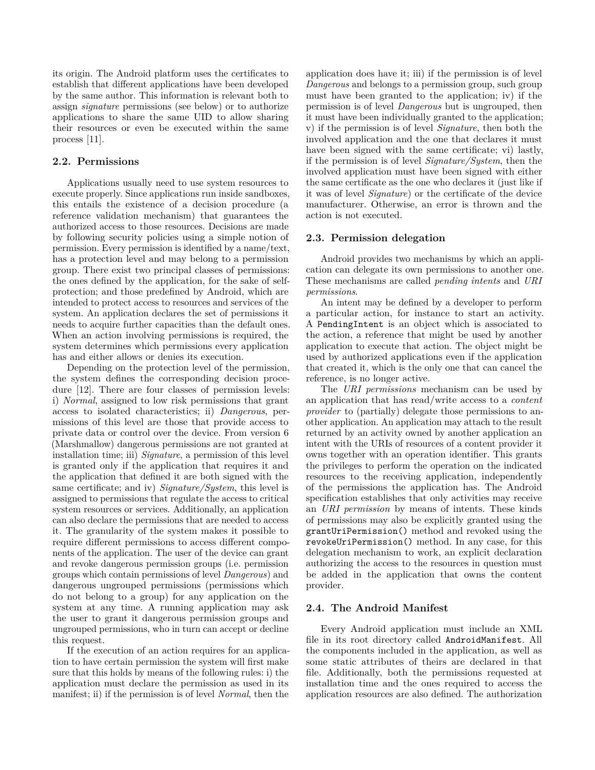its origin. The Android platform uses the certificates to establish that different applications have been developed by the same author. This information is relevant both to assign *signature* permissions (see below) or to authorize applications to share the same UID to allow sharing their resources or even be executed within the same process [11].

#### **2.2. Permissions**

Applications usually need to use system resources to execute properly. Since applications run inside sandboxes, this entails the existence of a decision procedure (a reference validation mechanism) that guarantees the authorized access to those resources. Decisions are made by following security policies using a simple notion of permission. Every permission is identified by a name/text, has a protection level and may belong to a permission group. There exist two principal classes of permissions: the ones defined by the application, for the sake of selfprotection; and those predefined by Android, which are intended to protect access to resources and services of the system. An application declares the set of permissions it needs to acquire further capacities than the default ones. When an action involving permissions is required, the system determines which permissions every application has and either allows or denies its execution.

Depending on the protection level of the permission, the system defines the corresponding decision procedure [12]. There are four classes of permission levels: i) *Normal*, assigned to low risk permissions that grant access to isolated characteristics; ii) *Dangerous*, permissions of this level are those that provide access to private data or control over the device. From version 6 (Marshmallow) dangerous permissions are not granted at installation time; iii) *Signature*, a permission of this level is granted only if the application that requires it and the application that defined it are both signed with the same certificate; and iv) *Signature/System*, this level is assigned to permissions that regulate the access to critical system resources or services. Additionally, an application can also declare the permissions that are needed to access it. The granularity of the system makes it possible to require different permissions to access different components of the application. The user of the device can grant and revoke dangerous permission groups (i.e. permission groups which contain permissions of level *Dangerous*) and dangerous ungrouped permissions (permissions which do not belong to a group) for any application on the system at any time. A running application may ask the user to grant it dangerous permission groups and ungrouped permissions, who in turn can accept or decline this request.

If the execution of an action requires for an application to have certain permission the system will first make sure that this holds by means of the following rules: i) the application must declare the permission as used in its manifest; ii) if the permission is of level *Normal*, then the application does have it; iii) if the permission is of level *Dangerous* and belongs to a permission group, such group must have been granted to the application; iv) if the permission is of level *Dangerous* but is ungrouped, then it must have been individually granted to the application; v) if the permission is of level *Signature*, then both the involved application and the one that declares it must have been signed with the same certificate; vi) lastly, if the permission is of level *Signature/System*, then the involved application must have been signed with either the same certificate as the one who declares it (just like if it was of level *Signature*) or the certificate of the device manufacturer. Otherwise, an error is thrown and the action is not executed.

## **2.3. Permission delegation**

Android provides two mechanisms by which an application can delegate its own permissions to another one. These mechanisms are called *pending intents* and *URI permissions*.

An intent may be defined by a developer to perform a particular action, for instance to start an activity. A PendingIntent is an object which is associated to the action, a reference that might be used by another application to execute that action. The object might be used by authorized applications even if the application that created it, which is the only one that can cancel the reference, is no longer active.

The *URI permissions* mechanism can be used by an application that has read/write access to a *content provider* to (partially) delegate those permissions to another application. An application may attach to the result returned by an activity owned by another application an intent with the URIs of resources of a content provider it owns together with an operation identifier. This grants the privileges to perform the operation on the indicated resources to the receiving application, independently of the permissions the application has. The Android specification establishes that only activities may receive an *URI permission* by means of intents. These kinds of permissions may also be explicitly granted using the grantUriPermission() method and revoked using the revokeUriPermission() method. In any case, for this delegation mechanism to work, an explicit declaration authorizing the access to the resources in question must be added in the application that owns the content provider.

# **2.4. The Android Manifest**

Every Android application must include an XML file in its root directory called AndroidManifest. All the components included in the application, as well as some static attributes of theirs are declared in that file. Additionally, both the permissions requested at installation time and the ones required to access the application resources are also defined. The authorization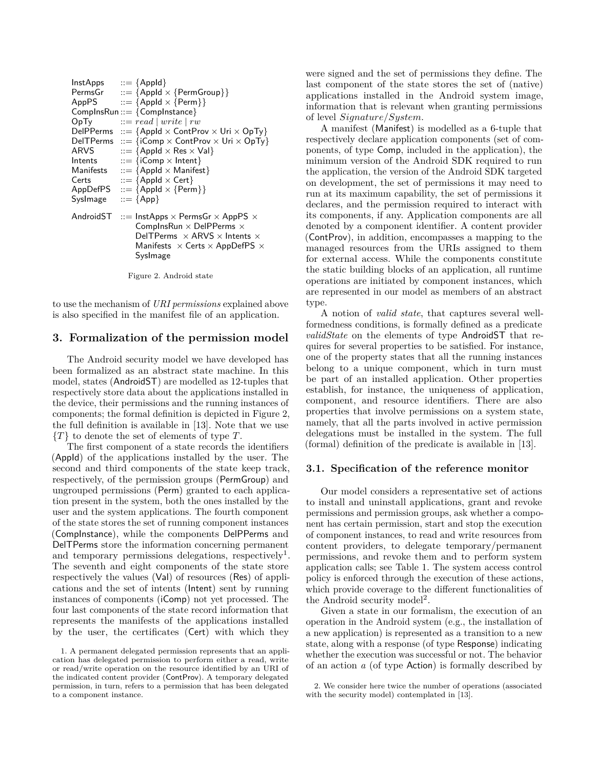| $ ::= \{AppId\}$                                                                                                                                                                                                                  |
|-----------------------------------------------------------------------------------------------------------------------------------------------------------------------------------------------------------------------------------|
| PermsGr $ ::= \{ \text{Appld} \times \{ \text{PermGroup} \} \}$                                                                                                                                                                   |
| $ ::= \{Appld \times \{Perm\}\}\$                                                                                                                                                                                                 |
| ComplnsRun ::= {Complnstance}                                                                                                                                                                                                     |
| $ ::= read   write   rw$                                                                                                                                                                                                          |
| $ ::= \{ \text{Applied} \times \text{ContProv} \times \text{Uni} \times \text{OpTy} \}$                                                                                                                                           |
| ::= $\{iComp \times ContProv \times Uri \times OpTy\}$                                                                                                                                                                            |
| $ ::= \{Appld \times Res \times Val\}$                                                                                                                                                                                            |
| $ ::= \{iComp \times Intent\}$                                                                                                                                                                                                    |
| Manifests $ ::= \{ \text{Appld} \times \text{Manifest} \}$                                                                                                                                                                        |
| $ ::= \{Appld \times \text{Cert}\}$                                                                                                                                                                                               |
| AppDefPS ::= ${Appld \times {Perm}}$                                                                                                                                                                                              |
| $ ::= \{App\}$                                                                                                                                                                                                                    |
| AndroidST ::= lnstApps $\times$ PermsGr $\times$ AppPS $\times$<br>ComplnsRun $\times$ DelPPerms $\times$<br>DelTPerms $\times$ ARVS $\times$ Intents $\times$<br>Manifests $\times$ Certs $\times$ AppDefPS $\times$<br>Syslmage |
|                                                                                                                                                                                                                                   |

Figure 2. Android state

to use the mechanism of *URI permissions* explained above is also specified in the manifest file of an application.

#### **3. Formalization of the permission model**

The Android security model we have developed has been formalized as an abstract state machine. In this model, states (AndroidST) are modelled as 12-tuples that respectively store data about the applications installed in the device, their permissions and the running instances of components; the formal definition is depicted in Figure 2, the full definition is available in [13]. Note that we use {*T*} to denote the set of elements of type *T*.

The first component of a state records the identifiers (AppId) of the applications installed by the user. The second and third components of the state keep track, respectively, of the permission groups (PermGroup) and ungrouped permissions (Perm) granted to each application present in the system, both the ones installed by the user and the system applications. The fourth component of the state stores the set of running component instances (CompInstance), while the components DelPPerms and DelTPerms store the information concerning permanent and temporary permissions delegations, respectively<sup>1</sup>. The seventh and eight components of the state store respectively the values (Val) of resources (Res) of applications and the set of intents (Intent) sent by running instances of components (iComp) not yet processed. The four last components of the state record information that represents the manifests of the applications installed by the user, the certificates (Cert) with which they

were signed and the set of permissions they define. The last component of the state stores the set of (native) applications installed in the Android system image, information that is relevant when granting permissions of level *Signature/System*.

A manifest (Manifest) is modelled as a 6-tuple that respectively declare application components (set of components, of type Comp, included in the application), the minimum version of the Android SDK required to run the application, the version of the Android SDK targeted on development, the set of permissions it may need to run at its maximum capability, the set of permissions it declares, and the permission required to interact with its components, if any. Application components are all denoted by a component identifier. A content provider (ContProv), in addition, encompasses a mapping to the managed resources from the URIs assigned to them for external access. While the components constitute the static building blocks of an application, all runtime operations are initiated by component instances, which are represented in our model as members of an abstract type.

A notion of *valid state*, that captures several wellformedness conditions, is formally defined as a predicate *validState* on the elements of type AndroidST that requires for several properties to be satisfied. For instance, one of the property states that all the running instances belong to a unique component, which in turn must be part of an installed application. Other properties establish, for instance, the uniqueness of application, component, and resource identifiers. There are also properties that involve permissions on a system state, namely, that all the parts involved in active permission delegations must be installed in the system. The full (formal) definition of the predicate is available in [13].

#### **3.1. Specification of the reference monitor**

Our model considers a representative set of actions to install and uninstall applications, grant and revoke permissions and permission groups, ask whether a component has certain permission, start and stop the execution of component instances, to read and write resources from content providers, to delegate temporary/permanent permissions, and revoke them and to perform system application calls; see Table 1. The system access control policy is enforced through the execution of these actions, which provide coverage to the different functionalities of the Android security model<sup>2</sup>.

Given a state in our formalism, the execution of an operation in the Android system (e.g., the installation of a new application) is represented as a transition to a new state, along with a response (of type Response) indicating whether the execution was successful or not. The behavior of an action *a* (of type Action) is formally described by

<sup>1.</sup> A permanent delegated permission represents that an application has delegated permission to perform either a read, write or read/write operation on the resource identified by an URI of the indicated content provider (ContProv). A temporary delegated permission, in turn, refers to a permission that has been delegated to a component instance.

<sup>2.</sup> We consider here twice the number of operations (associated with the security model) contemplated in [13].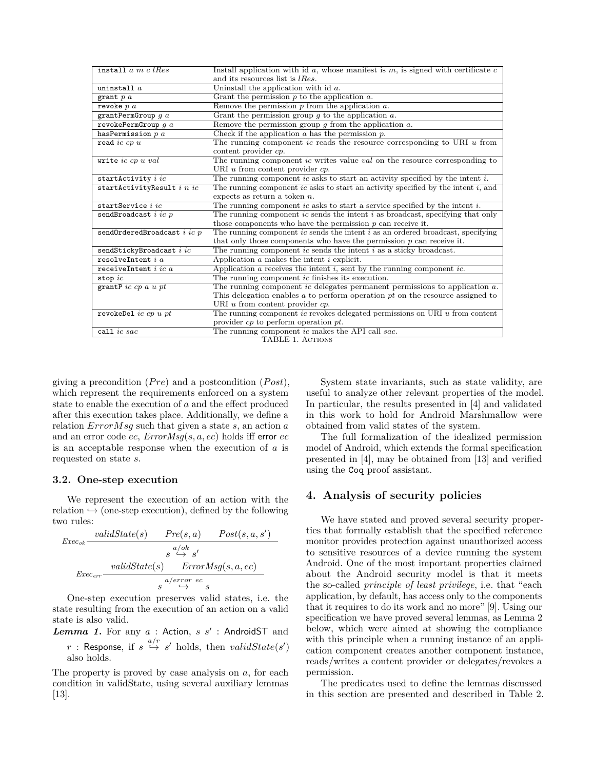| install $a \, m \, c \, l$ Res      | Install application with id $a$ , whose manifest is $m$ , is signed with certificate $c$ |
|-------------------------------------|------------------------------------------------------------------------------------------|
|                                     | and its resources list is <i>lRes</i> .                                                  |
| uninstall $a$                       | Uninstall the application with $id a$ .                                                  |
| $\operatorname{grant} p a$          | Grant the permission $p$ to the application $a$ .                                        |
| revoke $p$ $a$                      | Remove the permission $p$ from the application $a$ .                                     |
| $grantPermGroup$ g a                | Grant the permission group $q$ to the application $\alpha$ .                             |
| revokePermGroup $g$ $a$             | Remove the permission group $q$ from the application $a$ .                               |
| has $P$ ermission $p$ a             | Check if the application $a$ has the permission $p$ .                                    |
| $read$ ic cp $u$                    | The running component <i>ic</i> reads the resource corresponding to URI $u$ from         |
|                                     | content provider cp.                                                                     |
| write $ic$ $cp$ $u$ $val$           | The running component <i>ic</i> writes value <i>val</i> on the resource corresponding to |
|                                     | URI $u$ from content provider $cp$ .                                                     |
| startActivity $i$ ic                | The running component <i>ic</i> asks to start an activity specified by the intent $i$ .  |
| startActivityResult $i$ n ic        | The running component ic asks to start an activity specified by the intent $i$ , and     |
|                                     | expects as return a token $n$ .                                                          |
| startService i ic                   | The running component $ic$ asks to start a service specified by the intent $i$ .         |
| sendBroadcast $i$ ic $p$            | The running component ic sends the intent $i$ as broadcast, specifying that only         |
|                                     | those components who have the permission $p$ can receive it.                             |
| send $0$ rderedBroadcast $i$ ic $p$ | The running component ic sends the intent $i$ as an ordered broadcast, specifying        |
|                                     | that only those components who have the permission $p$ can receive it.                   |
| sendStickyBroadcast $i$ ic          | The running component <i>ic</i> sends the intent <i>i</i> as a sticky broadcast.         |
| $resolved$ rtent $i$ a              | Application $a$ makes the intent $i$ explicit.                                           |
| receiveIntent $i$ ic a              | Application $a$ receives the intent $i$ , sent by the running component $ic$ .           |
| $stop$ $ic$                         | The running component <i>ic</i> finishes its execution.                                  |
| grantP $ic$ cp $a$ u pt             |                                                                                          |
|                                     | The running component $ic$ delegates permanent permissions to application $a$ .          |
|                                     | This delegation enables $a$ to perform operation $pt$ on the resource assigned to        |
|                                     | URI $u$ from content provider $cp$ .                                                     |
| revokeDel $iccp$ u pt               | The running component $ic$ revokes delegated permissions on URI $u$ from content         |
|                                     | provider $cp$ to perform operation $pt$ .                                                |
| call $ic$ sac                       | The running component ic makes the API call sac.<br>$\Box$ TM DI D 1 A contexts          |

TABLE 1. Actions

giving a precondition (*P re*) and a postcondition (*P ost*), which represent the requirements enforced on a system state to enable the execution of *a* and the effect produced after this execution takes place. Additionally, we define a relation *ErrorMsg* such that given a state *s*, an action *a* and an error code *ec*, *ErrorMsg*(*s, a, ec*) holds iff error *ec* is an acceptable response when the execution of *a* is requested on state *s*.

#### **3.2. One-step execution**

We represent the execution of an action with the relation  $\hookrightarrow$  (one-step execution), defined by the following two rules:

$$
Exec_{ok} \frac{validState(s) \qquad Pre(s, a) \qquad Post(s, a, s')}{s \stackrel{a/ok}{\hookrightarrow} s'}
$$

$$
Exec_{err} \frac{validState(s) \qquad ErrorMsg(s, a, ec)}{s \stackrel{a/error}{\hookrightarrow} sc}
$$

One-step execution preserves valid states, i.e. the state resulting from the execution of an action on a valid state is also valid.

**Lemma 1.** For any 
$$
a
$$
: Action,  $s$   $s'$ : AndroidST and

*r* : Response, if  $s \stackrel{a/r}{\hookrightarrow} s'$  holds, then *validState*(*s'*) also holds.

The property is proved by case analysis on *a*, for each condition in validState, using several auxiliary lemmas [13].

System state invariants, such as state validity, are useful to analyze other relevant properties of the model. In particular, the results presented in [4] and validated in this work to hold for Android Marshmallow were obtained from valid states of the system.

The full formalization of the idealized permission model of Android, which extends the formal specification presented in [4], may be obtained from [13] and verified using the Coq proof assistant.

#### **4. Analysis of security policies**

We have stated and proved several security properties that formally establish that the specified reference monitor provides protection against unauthorized access to sensitive resources of a device running the system Android. One of the most important properties claimed about the Android security model is that it meets the so-called *principle of least privilege*, i.e. that "each application, by default, has access only to the components that it requires to do its work and no more" [9]. Using our specification we have proved several lemmas, as Lemma 2 below, which were aimed at showing the compliance with this principle when a running instance of an application component creates another component instance, reads/writes a content provider or delegates/revokes a permission.

The predicates used to define the lemmas discussed in this section are presented and described in Table 2.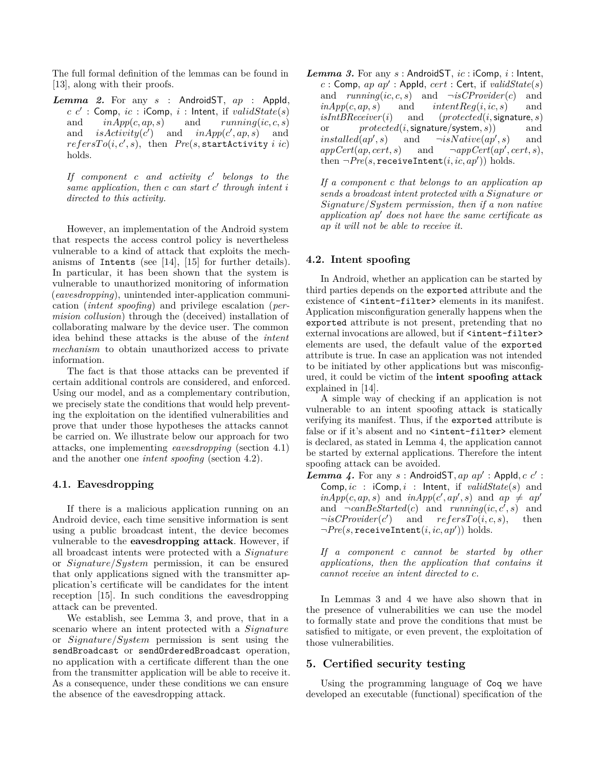The full formal definition of the lemmas can be found in [13], along with their proofs.

*Lemma 2.* For any *s* : AndroidST, *ap* : AppId,  $c$   $c'$  : Comp,  $ic$  : iComp,  $i$  : Intent, if  $validState(s)$ and *inApp*(*c, ap, s*) and *running*(*ic, c, s*)  $isActivity(c')$  and  $inApp(c', ap, s)$  and  $refersTo(i, c', s)$ , then  $Pre(s, \texttt{startActivity} \; i \; ic)$ holds.

*If component c and activity c* 0 *belongs to the same application, then c can start c* 0 *through intent i directed to this activity.*

However, an implementation of the Android system that respects the access control policy is nevertheless vulnerable to a kind of attack that exploits the mechanisms of Intents (see [14], [15] for further details). In particular, it has been shown that the system is vulnerable to unauthorized monitoring of information (*eavesdropping*), unintended inter-application communication (*intent spoofing*) and privilege escalation (*permision collusion*) through the (deceived) installation of collaborating malware by the device user. The common idea behind these attacks is the abuse of the *intent mechanism* to obtain unauthorized access to private information.

The fact is that those attacks can be prevented if certain additional controls are considered, and enforced. Using our model, and as a complementary contribution, we precisely state the conditions that would help preventing the exploitation on the identified vulnerabilities and prove that under those hypotheses the attacks cannot be carried on. We illustrate below our approach for two attacks, one implementing *eavesdropping* (section 4.1) and the another one *intent spoofing* (section 4.2).

#### **4.1. Eavesdropping**

If there is a malicious application running on an Android device, each time sensitive information is sent using a public broadcast intent, the device becomes vulnerable to the **eavesdropping attack**. However, if all broadcast intents were protected with a *Signature* or *Signature/System* permission, it can be ensured that only applications signed with the transmitter application's certificate will be candidates for the intent reception [15]. In such conditions the eavesdropping attack can be prevented.

We establish, see Lemma 3, and prove, that in a scenario where an intent protected with a *Signature* or *Signature/System* permission is sent using the sendBroadcast or sendOrderedBroadcast operation, no application with a certificate different than the one from the transmitter application will be able to receive it. As a consequence, under these conditions we can ensure the absence of the eavesdropping attack.

*Lemma 3.* For any *s* : AndroidST, *ic* : iComp, *i* : Intent,  $c:$  Comp,  $ap$   $ap'$ : AppId,  $cert:$  Cert, if  $validState(s)$ and  $running(ic, c, s)$  and  $\neg isCProvider(c)$  and *inApp*(*c, ap, s*) and *intentReg*(*i, ic, s*) and *isIntBReceiver*(*i*) and (*protected*(*i,*signature*, s*) or *protected*(*i,*signature*/*system*, s*)) and  $intalled(ap', s)$ and  $\neg isNative(ap', s)$ *, s*) and  $appCert(ap, cert, s)$  and  $\neg appCert(ap', cert, s),$ then  $\neg Pre(s, \texttt{receiveInternet}(i, ic, ap'))$  holds.

*If a component c that belongs to an application ap sends a broadcast intent protected with a Signature or Signature/System permission, then if a non native application ap*<sup>0</sup> *does not have the same certificate as ap it will not be able to receive it.*

## **4.2. Intent spoofing**

In Android, whether an application can be started by third parties depends on the exported attribute and the existence of  $\zeta$ intent-filter> elements in its manifest. Application misconfiguration generally happens when the exported attribute is not present, pretending that no external invocations are allowed, but if  $\text{Sinter-filters}$ elements are used, the default value of the exported attribute is true. In case an application was not intended to be initiated by other applications but was misconfigured, it could be victim of the **intent spoofing attack** explained in [14].

A simple way of checking if an application is not vulnerable to an intent spoofing attack is statically verifying its manifest. Thus, if the exported attribute is false or if it's absent and no <intent-filter> element is declared, as stated in Lemma 4, the application cannot be started by external applications. Therefore the intent spoofing attack can be avoided.

*Lemma 4.* For any  $s$ : AndroidST,  $ap \, ap'$ : Appld,  $c \, c'$ : Comp*, ic* : iComp*, i* : Intent*,* if *validState*(*s*) and  $inApp(c, ap, s)$  and  $inApp(c', ap', s)$  and  $ap \neq ap'$ and  $\neg can$ *BeStarted*(*c*) and  $running(ic, c', s)$  and  $\neg$ *isCProvider*(*c'* ) and *refersT o*(*i, c, s*), then  $\neg Pre(s, \texttt{receiveInternet}(i, ic, ap'))$  holds.

*If a component c cannot be started by other applications, then the application that contains it cannot receive an intent directed to c.*

In Lemmas 3 and 4 we have also shown that in the presence of vulnerabilities we can use the model to formally state and prove the conditions that must be satisfied to mitigate, or even prevent, the exploitation of those vulnerabilities.

# **5. Certified security testing**

Using the programming language of Coq we have developed an executable (functional) specification of the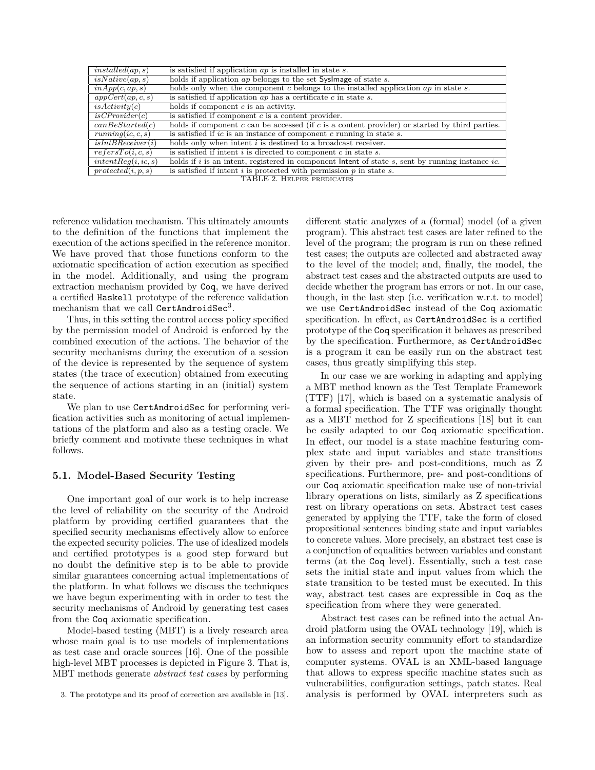| instead(ap,s)               | is satisfied if application $ap$ is installed in state $s$ .                                       |  |
|-----------------------------|----------------------------------------------------------------------------------------------------|--|
| $is\mathit{Native}(ap,s)$   | holds if application ap belongs to the set Syslmage of state s.                                    |  |
| inApp(c, ap, s)             | holds only when the component $c$ belongs to the installed application $ap$ in state $s$ .         |  |
| appCert(ap, c, s)           | is satisfied if application $ap$ has a certificate $c$ in state $s$ .                              |  |
| isActivity(c)               | holds if component $c$ is an activity.                                                             |  |
| $is$ <i>CProvider</i> $(c)$ | is satisfied if component $c$ is a content provider.                                               |  |
| can B eStarted(c)           | holds if component $c$ can be accessed (if $c$ is a content provider) or started by third parties. |  |
| running(ic, c, s)           | is satisfied if $ic$ is an instance of component $c$ running in state $s$ .                        |  |
| isIntBReceiver(i)           | holds only when intent $i$ is destined to a broadcast receiver.                                    |  |
| refersTo(i, c, s)           | is satisfied if intent $i$ is directed to component $c$ in state $s$ .                             |  |
| intentReg(i, ic, s)         | holds if i is an intent, registered in component lntent of state s, sent by running instance ic.   |  |
| protected(i, p, s)          | is satisfied if intent $i$ is protected with permission $p$ in state $s$ .                         |  |
| TADLE 2 HELPER BREAGHER     |                                                                                                    |  |

TABLE 2. Helper predicates

reference validation mechanism. This ultimately amounts to the definition of the functions that implement the execution of the actions specified in the reference monitor. We have proved that those functions conform to the axiomatic specification of action execution as specified in the model. Additionally, and using the program extraction mechanism provided by Coq, we have derived a certified Haskell prototype of the reference validation mechanism that we call CertAndroidSec<sup>3</sup>.

Thus, in this setting the control access policy specified by the permission model of Android is enforced by the combined execution of the actions. The behavior of the security mechanisms during the execution of a session of the device is represented by the sequence of system states (the trace of execution) obtained from executing the sequence of actions starting in an (initial) system state.

We plan to use CertAndroidSec for performing verification activities such as monitoring of actual implementations of the platform and also as a testing oracle. We briefly comment and motivate these techniques in what follows.

#### **5.1. Model-Based Security Testing**

One important goal of our work is to help increase the level of reliability on the security of the Android platform by providing certified guarantees that the specified security mechanisms effectively allow to enforce the expected security policies. The use of idealized models and certified prototypes is a good step forward but no doubt the definitive step is to be able to provide similar guarantees concerning actual implementations of the platform. In what follows we discuss the techniques we have begun experimenting with in order to test the security mechanisms of Android by generating test cases from the Coq axiomatic specification.

Model-based testing (MBT) is a lively research area whose main goal is to use models of implementations as test case and oracle sources [16]. One of the possible high-level MBT processes is depicted in Figure 3. That is, MBT methods generate *abstract test cases* by performing different static analyzes of a (formal) model (of a given program). This abstract test cases are later refined to the level of the program; the program is run on these refined test cases; the outputs are collected and abstracted away to the level of the model; and, finally, the model, the abstract test cases and the abstracted outputs are used to decide whether the program has errors or not. In our case, though, in the last step (i.e. verification w.r.t. to model) we use CertAndroidSec instead of the Coq axiomatic specification. In effect, as CertAndroidSec is a certified prototype of the Coq specification it behaves as prescribed by the specification. Furthermore, as CertAndroidSec is a program it can be easily run on the abstract test cases, thus greatly simplifying this step.

In our case we are working in adapting and applying a MBT method known as the Test Template Framework (TTF) [17], which is based on a systematic analysis of a formal specification. The TTF was originally thought as a MBT method for Z specifications [18] but it can be easily adapted to our Coq axiomatic specification. In effect, our model is a state machine featuring complex state and input variables and state transitions given by their pre- and post-conditions, much as Z specifications. Furthermore, pre- and post-conditions of our Coq axiomatic specification make use of non-trivial library operations on lists, similarly as Z specifications rest on library operations on sets. Abstract test cases generated by applying the TTF, take the form of closed propositional sentences binding state and input variables to concrete values. More precisely, an abstract test case is a conjunction of equalities between variables and constant terms (at the Coq level). Essentially, such a test case sets the initial state and input values from which the state transition to be tested must be executed. In this way, abstract test cases are expressible in Coq as the specification from where they were generated.

Abstract test cases can be refined into the actual Android platform using the OVAL technology [19], which is an information security community effort to standardize how to assess and report upon the machine state of computer systems. OVAL is an XML-based language that allows to express specific machine states such as vulnerabilities, configuration settings, patch states. Real analysis is performed by OVAL interpreters such as

<sup>3.</sup> The prototype and its proof of correction are available in [13].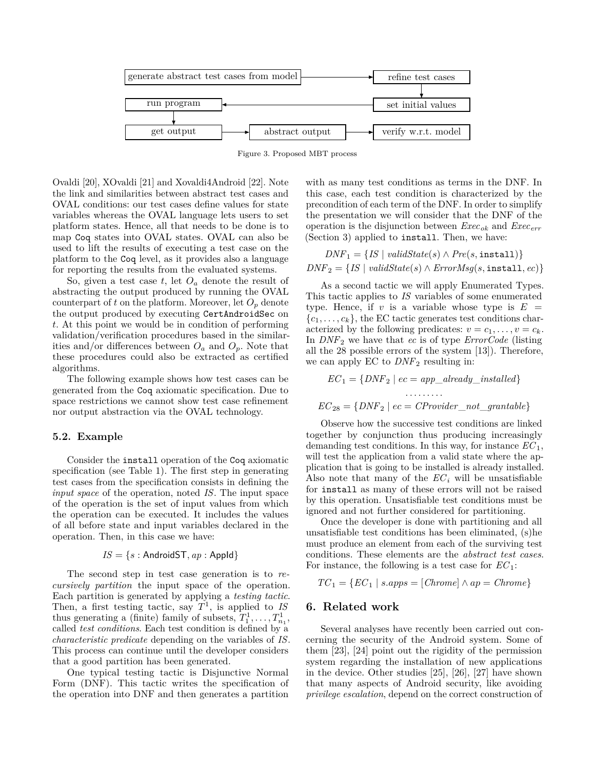

Figure 3. Proposed MBT process

Ovaldi [20], XOvaldi [21] and Xovaldi4Android [22]. Note the link and similarities between abstract test cases and OVAL conditions: our test cases define values for state variables whereas the OVAL language lets users to set platform states. Hence, all that needs to be done is to map Coq states into OVAL states. OVAL can also be used to lift the results of executing a test case on the platform to the Coq level, as it provides also a language for reporting the results from the evaluated systems.

So, given a test case *t*, let *O<sup>a</sup>* denote the result of abstracting the output produced by running the OVAL counterpart of  $t$  on the platform. Moreover, let  $O_p$  denote the output produced by executing CertAndroidSec on *t*. At this point we would be in condition of performing validation/verification procedures based in the similarities and/or differences between  $O_a$  and  $O_p$ . Note that these procedures could also be extracted as certified algorithms.

The following example shows how test cases can be generated from the Coq axiomatic specification. Due to space restrictions we cannot show test case refinement nor output abstraction via the OVAL technology.

#### **5.2. Example**

Consider the install operation of the Coq axiomatic specification (see Table 1). The first step in generating test cases from the specification consists in defining the *input space* of the operation, noted *IS*. The input space of the operation is the set of input values from which the operation can be executed. It includes the values of all before state and input variables declared in the operation. Then, in this case we have:

#### $IS = \{s : \text{AndroidST}, ap : \text{Appld}\}$

The second step in test case generation is to *recursively partition* the input space of the operation. Each partition is generated by applying a *testing tactic*. Then, a first testing tactic, say *T* 1 , is applied to *IS* thus generating a (finite) family of subsets,  $T_1^1, \ldots, T_{n_1}^1$ , called *test conditions*. Each test condition is defined by a *characteristic predicate* depending on the variables of *IS*. This process can continue until the developer considers that a good partition has been generated.

One typical testing tactic is Disjunctive Normal Form (DNF). This tactic writes the specification of the operation into DNF and then generates a partition with as many test conditions as terms in the DNF. In this case, each test condition is characterized by the precondition of each term of the DNF. In order to simplify the presentation we will consider that the DNF of the operation is the disjunction between *Execok* and *Execerr* (Section 3) applied to install. Then, we have:

$$
DNF_1 = \{IS \mid validState(s) \land Pre(s, \texttt{install})\}
$$

$$
DNF_2 = \{IS \mid validState(s) \land ErrorMsg(s, \texttt{install}, ec)\}
$$

As a second tactic we will apply Enumerated Types. This tactic applies to *IS* variables of some enumerated type. Hence, if *v* is a variable whose type is  $E =$  ${c_1, \ldots, c_k}$ , the EC tactic generates test conditions characterized by the following predicates:  $v = c_1, \ldots, v = c_k$ . In *DNF*<sup>2</sup> we have that *ec* is of type *ErrorCode* (listing all the 28 possible errors of the system [13]). Therefore, we can apply EC to  $DNF_2$  resulting in:

$$
EC_1 = \{DNF_2 \mid ec = app\_already\_ installed\}
$$
  
........  

$$
EC_{28} = \{DNF_2 \mid ec = CProvider\_not\_grantable\}
$$

Observe how the successive test conditions are linked together by conjunction thus producing increasingly demanding test conditions. In this way, for instance *EC*1, will test the application from a valid state where the application that is going to be installed is already installed. Also note that many of the  $EC_i$  will be unsatisfiable for install as many of these errors will not be raised by this operation. Unsatisfiable test conditions must be ignored and not further considered for partitioning.

Once the developer is done with partitioning and all unsatisfiable test conditions has been eliminated, (s)he must produce an element from each of the surviving test conditions. These elements are the *abstract test cases*. For instance, the following is a test case for *EC*1:

$$
TC_1 = \{EC_1 \mid s.append = [Chrome] \land ap = Chrome\}
$$

#### **6. Related work**

Several analyses have recently been carried out concerning the security of the Android system. Some of them [23], [24] point out the rigidity of the permission system regarding the installation of new applications in the device. Other studies [25], [26], [27] have shown that many aspects of Android security, like avoiding *privilege escalation*, depend on the correct construction of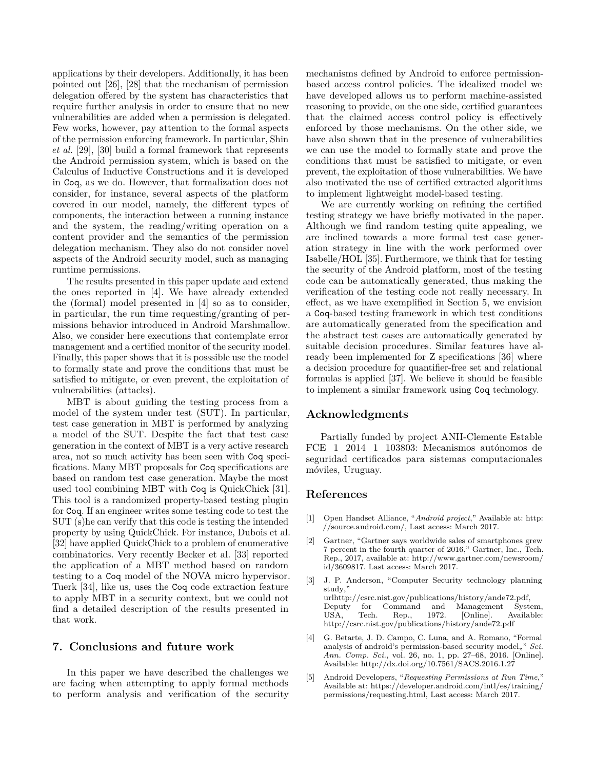applications by their developers. Additionally, it has been pointed out [26], [28] that the mechanism of permission delegation offered by the system has characteristics that require further analysis in order to ensure that no new vulnerabilities are added when a permission is delegated. Few works, however, pay attention to the formal aspects of the permission enforcing framework. In particular, Shin *et al.* [29], [30] build a formal framework that represents the Android permission system, which is based on the Calculus of Inductive Constructions and it is developed in Coq, as we do. However, that formalization does not consider, for instance, several aspects of the platform covered in our model, namely, the different types of components, the interaction between a running instance and the system, the reading/writing operation on a content provider and the semantics of the permission delegation mechanism. They also do not consider novel aspects of the Android security model, such as managing runtime permissions.

The results presented in this paper update and extend the ones reported in [4]. We have already extended the (formal) model presented in [4] so as to consider, in particular, the run time requesting/granting of permissions behavior introduced in Android Marshmallow. Also, we consider here executions that contemplate error management and a certified monitor of the security model. Finally, this paper shows that it is posssible use the model to formally state and prove the conditions that must be satisfied to mitigate, or even prevent, the exploitation of vulnerabilities (attacks).

MBT is about guiding the testing process from a model of the system under test (SUT). In particular, test case generation in MBT is performed by analyzing a model of the SUT. Despite the fact that test case generation in the context of MBT is a very active research area, not so much activity has been seen with Coq specifications. Many MBT proposals for Coq specifications are based on random test case generation. Maybe the most used tool combining MBT with Coq is QuickChick [31]. This tool is a randomized property-based testing plugin for Coq. If an engineer writes some testing code to test the SUT (s)he can verify that this code is testing the intended property by using QuickChick. For instance, Dubois et al. [32] have applied QuickChick to a problem of enumerative combinatorics. Very recently Becker et al. [33] reported the application of a MBT method based on random testing to a Coq model of the NOVA micro hypervisor. Tuerk [34], like us, uses the Coq code extraction feature to apply MBT in a security context, but we could not find a detailed description of the results presented in that work.

#### **7. Conclusions and future work**

In this paper we have described the challenges we are facing when attempting to apply formal methods to perform analysis and verification of the security mechanisms defined by Android to enforce permissionbased access control policies. The idealized model we have developed allows us to perform machine-assisted reasoning to provide, on the one side, certified guarantees that the claimed access control policy is effectively enforced by those mechanisms. On the other side, we have also shown that in the presence of vulnerabilities we can use the model to formally state and prove the conditions that must be satisfied to mitigate, or even prevent, the exploitation of those vulnerabilities. We have also motivated the use of certified extracted algorithms to implement lightweight model-based testing.

We are currently working on refining the certified testing strategy we have briefly motivated in the paper. Although we find random testing quite appealing, we are inclined towards a more formal test case generation strategy in line with the work performed over Isabelle/HOL [35]. Furthermore, we think that for testing the security of the Android platform, most of the testing code can be automatically generated, thus making the verification of the testing code not really necessary. In effect, as we have exemplified in Section 5, we envision a Coq-based testing framework in which test conditions are automatically generated from the specification and the abstract test cases are automatically generated by suitable decision procedures. Similar features have already been implemented for Z specifications [36] where a decision procedure for quantifier-free set and relational formulas is applied [37]. We believe it should be feasible to implement a similar framework using Coq technology.

#### **Acknowledgments**

Partially funded by project ANII-Clemente Estable FCE\_1\_2014\_1\_103803: Mecanismos autónomos de seguridad certificados para sistemas computacionales móviles, Uruguay.

#### **References**

- [1] Open Handset Alliance, "*Android project*," Available at: http: //source.android.com/, Last access: March 2017.
- [2] Gartner, "Gartner says worldwide sales of smartphones grew 7 percent in the fourth quarter of 2016," Gartner, Inc., Tech. Rep., 2017, available at: http://www.gartner.com/newsroom/ id/3609817. Last access: March 2017.
- [3] J. P. Anderson, "Computer Security technology planning study," urlhttp://csrc.nist.gov/publications/history/ande72.pdf, Deputy for Command and Management System, USA, Tech. Rep., 1972. [Online]. Available: http://csrc.nist.gov/publications/history/ande72.pdf
- [4] G. Betarte, J. D. Campo, C. Luna, and A. Romano, "Formal analysis of android's permission-based security model," *Sci. Ann. Comp. Sci.*, vol. 26, no. 1, pp. 27–68, 2016. [Online]. Available: http://dx.doi.org/10.7561/SACS.2016.1.27
- [5] Android Developers, "*Requesting Permissions at Run Time*," Available at: https://developer.android.com/intl/es/training/ permissions/requesting.html, Last access: March 2017.